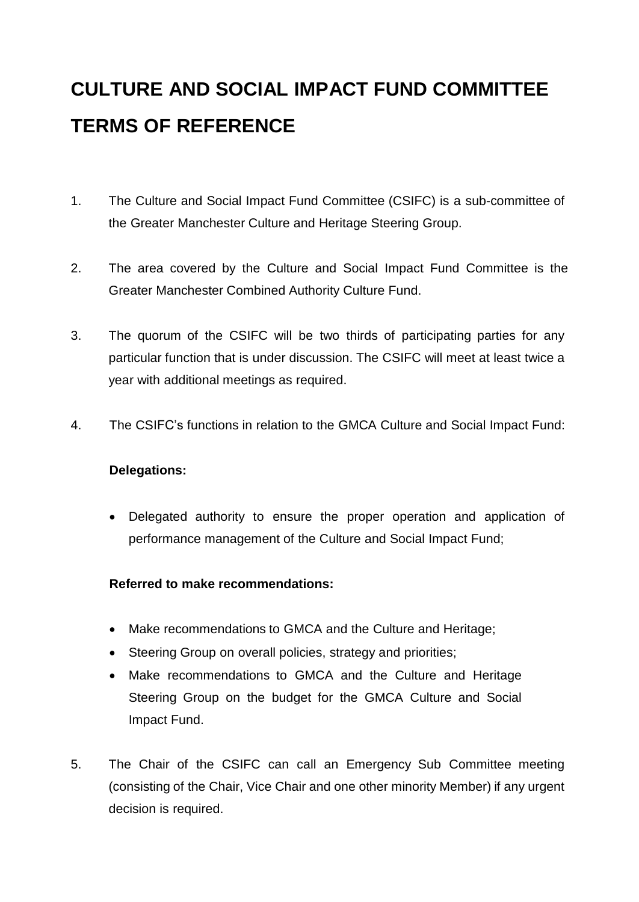# **CULTURE AND SOCIAL IMPACT FUND COMMITTEE TERMS OF REFERENCE**

- 1. The Culture and Social Impact Fund Committee (CSIFC) is a sub-committee of the Greater Manchester Culture and Heritage Steering Group.
- 2. The area covered by the Culture and Social Impact Fund Committee is the Greater Manchester Combined Authority Culture Fund.
- 3. The quorum of the CSIFC will be two thirds of participating parties for any particular function that is under discussion. The CSIFC will meet at least twice a year with additional meetings as required.
- 4. The CSIFC's functions in relation to the GMCA Culture and Social Impact Fund:

#### **Delegations:**

 Delegated authority to ensure the proper operation and application of performance management of the Culture and Social Impact Fund;

#### **Referred to make recommendations:**

- Make recommendations to GMCA and the Culture and Heritage;
- Steering Group on overall policies, strategy and priorities;
- Make recommendations to GMCA and the Culture and Heritage Steering Group on the budget for the GMCA Culture and Social Impact Fund.
- 5. The Chair of the CSIFC can call an Emergency Sub Committee meeting (consisting of the Chair, Vice Chair and one other minority Member) if any urgent decision is required.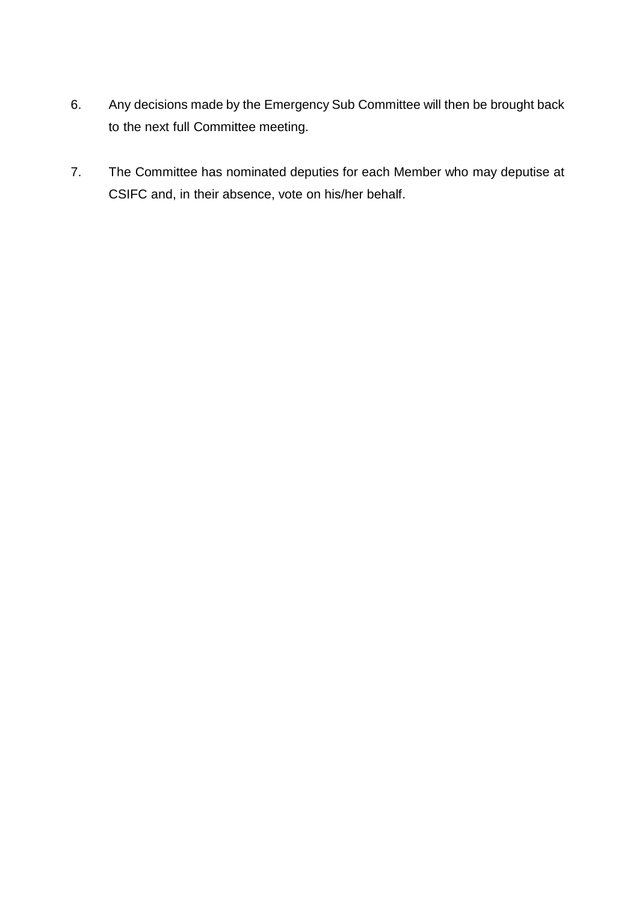- 6. Any decisions made by the Emergency Sub Committee will then be brought back to the next full Committee meeting.
- 7. The Committee has nominated deputies for each Member who may deputise at CSIFC and, in their absence, vote on his/her behalf.